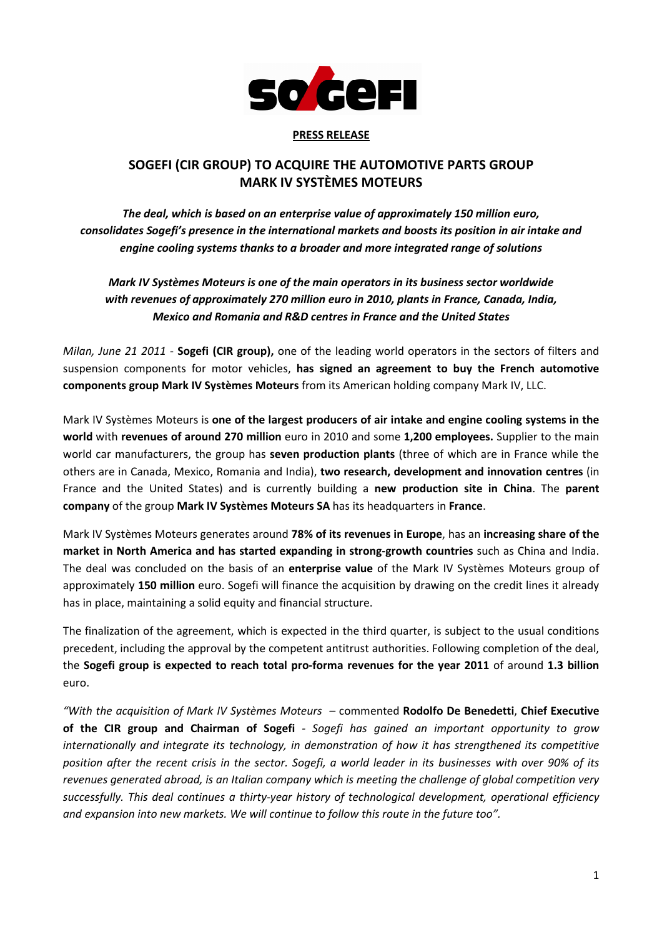

## PRESS RELEASE

## SOGEFI (CIR GROUP) TO ACQUIRE THE AUTOMOTIVE PARTS GROUP MARK IV SYSTÈMES MOTEURS

The deal, which is based on an enterprise value of approximately 150 million euro, consolidates Sogefi's presence in the international markets and boosts its position in air intake and engine cooling systems thanks to a broader and more integrated range of solutions

Mark IV Systèmes Moteurs is one of the main operators in its business sector worldwide with revenues of approximately 270 million euro in 2010, plants in France, Canada, India, Mexico and Romania and R&D centres in France and the United States

Milan, June 21 2011 - Sogefi (CIR group), one of the leading world operators in the sectors of filters and suspension components for motor vehicles, has signed an agreement to buy the French automotive components group Mark IV Systèmes Moteurs from its American holding company Mark IV, LLC.

Mark IV Systèmes Moteurs is one of the largest producers of air intake and engine cooling systems in the world with revenues of around 270 million euro in 2010 and some 1,200 employees. Supplier to the main world car manufacturers, the group has seven production plants (three of which are in France while the others are in Canada, Mexico, Romania and India), two research, development and innovation centres (in France and the United States) and is currently building a new production site in China. The parent company of the group Mark IV Systèmes Moteurs SA has its headquarters in France.

Mark IV Systèmes Moteurs generates around 78% of its revenues in Europe, has an increasing share of the market in North America and has started expanding in strong-growth countries such as China and India. The deal was concluded on the basis of an **enterprise value** of the Mark IV Systèmes Moteurs group of approximately 150 million euro. Sogefi will finance the acquisition by drawing on the credit lines it already has in place, maintaining a solid equity and financial structure.

The finalization of the agreement, which is expected in the third quarter, is subject to the usual conditions precedent, including the approval by the competent antitrust authorities. Following completion of the deal, the Sogefi group is expected to reach total pro-forma revenues for the year 2011 of around 1.3 billion euro.

"With the acquisition of Mark IV Systèmes Moteurs - commented Rodolfo De Benedetti, Chief Executive of the CIR group and Chairman of Sogefi - Sogefi has gained an important opportunity to grow internationally and integrate its technology, in demonstration of how it has strengthened its competitive position after the recent crisis in the sector. Sogefi, a world leader in its businesses with over 90% of its revenues generated abroad, is an Italian company which is meeting the challenge of global competition very successfully. This deal continues a thirty-year history of technological development, operational efficiency and expansion into new markets. We will continue to follow this route in the future too".